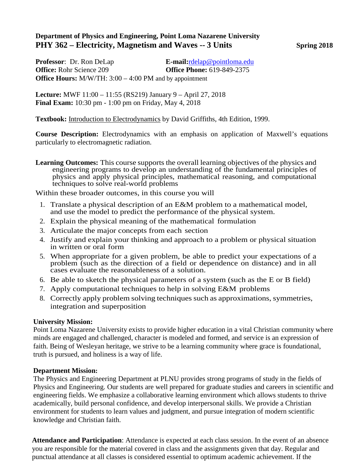## **Department of Physics and Engineering, Point Loma Nazarene University PHY 362 – Electricity, Magnetism and Waves -- 3 Units Spring 2018**

**Professor**: Dr. Ron DeLap **E-mail:**[rdelap@pointloma.edu](mailto:rdelap@pointloma.edu) **Office:** Rohr Science 209 **Office Phone:** 619-849-2375 **Office Hours:** M/W/TH: 3:00 – 4:00 PM and by appointment

**Lecture:** MWF 11:00 – 11:55 (RS219) January 9 – April 27, 2018 **Final Exam:** 10:30 pm - 1:00 pm on Friday, May 4, 2018

**Textbook:** Introduction to Electrodynamics by David Griffiths, 4th Edition, 1999.

**Course Description:** Electrodynamics with an emphasis on application of Maxwell's equations particularly to electromagnetic radiation.

**Learning Outcomes:** This course supports the overall learning objectives of the physics and engineering programs to develop an understanding of the fundamental principles of physics and apply physical principles, mathematical reasoning, and computational techniques to solve real-world problems

Within these broader outcomes, in this course you will

- 1. Translate a physical description of an E&M problem to a mathematical model, and use the model to predict the performance of the physical system.
- 2. Explain the physical meaning of the mathematical formulation
- 3. Articulate the major concepts from each section
- 4. Justify and explain your thinking and approach to a problem or physical situation in written or oral form
- 5. When appropriate for a given problem, be able to predict your expectations of a problem (such as the direction of a field or dependence on distance) and in all cases evaluate the reasonableness of a solution.
- 6. Be able to sketch the physical parameters of a system (such as the E or B field)
- 7. Apply computational techniques to help in solving E&M problems
- 8. Correctly apply problem solving techniques such as approximations, symmetries, integration and superposition

## **University Mission:**

Point Loma Nazarene University exists to provide higher education in a vital Christian community where minds are engaged and challenged, character is modeled and formed, and service is an expression of faith. Being of Wesleyan heritage, we strive to be a learning community where grace is foundational, truth is pursued, and holiness is a way of life.

## **Department Mission:**

The Physics and Engineering Department at PLNU provides strong programs of study in the fields of Physics and Engineering. Our students are well prepared for graduate studies and careers in scientific and engineering fields. We emphasize a collaborative learning environment which allows students to thrive academically, build personal confidence, and develop interpersonal skills. We provide a Christian environment for students to learn values and judgment, and pursue integration of modern scientific knowledge and Christian faith.

**Attendance and Participation**: Attendance is expected at each class session. In the event of an absence you are responsible for the material covered in class and the assignments given that day. Regular and punctual attendance at all classes is considered essential to optimum academic achievement. If the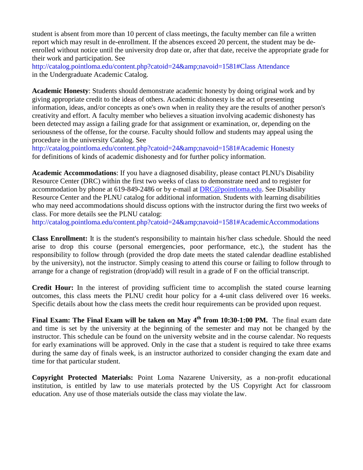student is absent from more than 10 percent of class meetings, the faculty member can file a written report which may result in de-enrollment. If the absences exceed 20 percent, the student may be deenrolled without notice until the university drop date or, after that date, receive the appropriate grade for their work and participation. See

[http://catalog.pointloma.edu/content.php?catoid=24&navoid=1581#Class A](http://catalog.pointloma.edu/content.php?catoid=24&amp%3Bnavoid=1581&Class)ttendance in the Undergraduate Academic Catalog.

**Academic Honesty**: Students should demonstrate academic honesty by doing original work and by giving appropriate credit to the ideas of others. Academic dishonesty is the act of presenting information, ideas, and/or concepts as one's own when in reality they are the results of another person's creativity and effort. A faculty member who believes a situation involving academic dishonesty has been detected may assign a failing grade for that assignment or examination, or, depending on the seriousness of the offense, for the course. Faculty should follow and students may appeal using the procedure in the university Catalog. See

[http://catalog.pointloma.edu/content.php?catoid=24&navoid=1581#Academic H](http://catalog.pointloma.edu/content.php?catoid=24&amp%3Bnavoid=1581&Academic)onesty for definitions of kinds of academic dishonesty and for further policy information.

**Academic Accommodations**: If you have a diagnosed disability, please contact PLNU's Disability Resource Center (DRC) within the first two weeks of class to demonstrate need and to register for accommodation by phone at 619-849-2486 or by e-mail at [DRC@pointloma.edu.](mailto:DRC@pointloma.edu) See Disability Resource Center and the PLNU catalog for additional information. Students with learning disabilities who may need accommodations should discuss options with the instructor during the first two weeks of class. For more details see the PLNU catalog:

[http://catalog.pointloma.edu/content.php?catoid=24&navoid=1581#AcademicAccommodations](http://catalog.pointloma.edu/content.php?catoid=24&amp%3Bnavoid=1581&AcademicAccommodations)

**Class Enrollment:** It is the student's responsibility to maintain his/her class schedule. Should the need arise to drop this course (personal emergencies, poor performance, etc.), the student has the responsibility to follow through (provided the drop date meets the stated calendar deadline established by the university), not the instructor. Simply ceasing to attend this course or failing to follow through to arrange for a change of registration (drop/add) will result in a grade of F on the official transcript.

**Credit Hour:** In the interest of providing sufficient time to accomplish the stated course learning outcomes, this class meets the PLNU credit hour policy for a 4-unit class delivered over 16 weeks. Specific details about how the class meets the credit hour requirements can be provided upon request.

**Final Exam: The Final Exam will be taken on May 4th from 10:30-1:00 PM.** The final exam date and time is set by the university at the beginning of the semester and may not be changed by the instructor. This schedule can be found on the university website and in the course calendar. No requests for early examinations will be approved. Only in the case that a student is required to take three exams during the same day of finals week, is an instructor authorized to consider changing the exam date and time for that particular student.

**Copyright Protected Materials:** Point Loma Nazarene University, as a non-profit educational institution, is entitled by law to use materials protected by the US Copyright Act for classroom education. Any use of those materials outside the class may violate the law.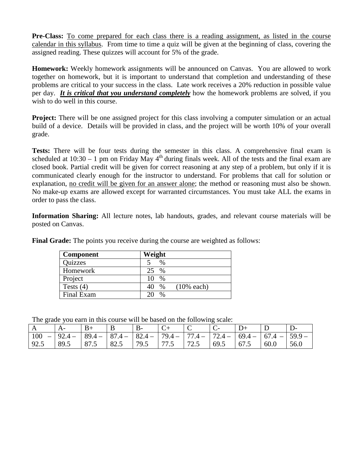**Pre-Class:** To come prepared for each class there is a reading assignment, as listed in the course calendar in this syllabus. From time to time a quiz will be given at the beginning of class, covering the assigned reading. These quizzes will account for 5% of the grade.

Homework: Weekly homework assignments will be announced on Canvas. You are allowed to work together on homework, but it is important to understand that completion and understanding of these problems are critical to your success in the class. Late work receives a 20% reduction in possible value per day. *It is critical that you understand completely* how the homework problems are solved, if you wish to do well in this course.

**Project:** There will be one assigned project for this class involving a computer simulation or an actual build of a device. Details will be provided in class, and the project will be worth 10% of your overall grade.

Tests: There will be four tests during the semester in this class. A comprehensive final exam is scheduled at  $10:30 - 1$  pm on Friday May  $4<sup>th</sup>$  during finals week. All of the tests and the final exam are closed book. Partial credit will be given for correct reasoning at any step of a problem, but only if it is communicated clearly enough for the instructor to understand. For problems that call for solution or explanation, no credit will be given for an answer alone; the method or reasoning must also be shown. No make-up exams are allowed except for warranted circumstances. You must take ALL the exams in order to pass the class.

**Information Sharing:** All lecture notes, lab handouts, grades, and relevant course materials will be posted on Canvas.

|  | Final Grade: The points you receive during the course are weighted as follows: |  |
|--|--------------------------------------------------------------------------------|--|
|--|--------------------------------------------------------------------------------|--|

| <b>Component</b> | Weight                         |
|------------------|--------------------------------|
| Quizzes          | $\%$                           |
| Homework         | $\%$<br>25                     |
| Project          | $\frac{0}{0}$<br>10            |
| Tests $(4)$      | $(10\%$ each)<br>$\frac{0}{0}$ |
| Final Exam       | $\%$                           |

The grade you earn in this course will be based on the following scale:

|            |                                                                                               |      | B    |      |      | $\overline{\mathsf{C}}$ |      |      |      |      |
|------------|-----------------------------------------------------------------------------------------------|------|------|------|------|-------------------------|------|------|------|------|
| $\mid$ 100 | $-$   92.4 -   89.4 -   87.4 -   82.4 -   79.4 -   77.4 -   72.4 -   69.4 -   67.4 -   59.9 - |      |      |      |      |                         |      |      |      |      |
| 92.5       | 89.5                                                                                          | 87.5 | 82.5 | 79.5 | 77.5 | 172.5                   | 69.5 | 67.5 | 60.0 | 56.0 |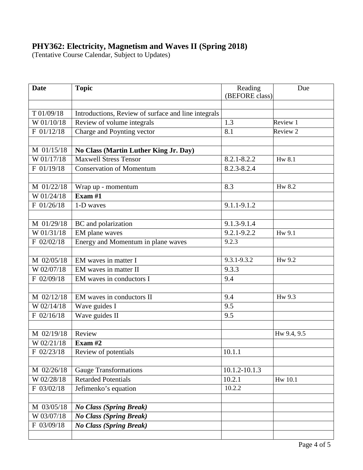## **PHY362: Electricity, Magnetism and Waves II (Spring 2018)**

(Tentative Course Calendar, Subject to Updates)

| <b>Date</b>  | <b>Topic</b>                                        | Reading<br>(BEFORE class) |             |
|--------------|-----------------------------------------------------|---------------------------|-------------|
|              |                                                     |                           |             |
| T 01/09/18   | Introductions, Review of surface and line integrals |                           |             |
| W 01/10/18   | Review of volume integrals                          | 1.3                       | Review 1    |
| F 01/12/18   | Charge and Poynting vector                          | 8.1                       | Review 2    |
|              |                                                     |                           |             |
| M 01/15/18   | No Class (Martin Luther King Jr. Day)               |                           |             |
| W 01/17/18   | <b>Maxwell Stress Tensor</b>                        | $8.2.1 - 8.2.2$           | Hw 8.1      |
| F 01/19/18   | <b>Conservation of Momentum</b>                     | 8.2.3-8.2.4               |             |
|              |                                                     |                           |             |
| M 01/22/18   | Wrap up - momentum                                  | 8.3                       | Hw 8.2      |
| W 01/24/18   | Exam $#1$                                           |                           |             |
| F 01/26/18   | 1-D waves                                           | 9.1.1-9.1.2               |             |
|              |                                                     |                           |             |
| M 01/29/18   | BC and polarization                                 | 9.1.3-9.1.4               |             |
| W 01/31/18   | EM plane waves                                      | 9.2.1-9.2.2               | Hw 9.1      |
| F 02/02/18   | Energy and Momentum in plane waves                  | 9.2.3                     |             |
|              |                                                     |                           |             |
| M 02/05/18   | EM waves in matter I                                | $9.3.1 - 9.3.2$           | Hw 9.2      |
| W 02/07/18   | EM waves in matter II                               | 9.3.3                     |             |
| F 02/09/18   | EM waves in conductors I                            | 9.4                       |             |
|              |                                                     |                           |             |
| M 02/12/18   | EM waves in conductors II                           | 9.4                       | Hw 9.3      |
| W 02/14/18   | Wave guides I                                       | 9.5                       |             |
| $F$ 02/16/18 | Wave guides II                                      | 9.5                       |             |
|              |                                                     |                           |             |
| M 02/19/18   | Review                                              |                           | Hw 9.4, 9.5 |
| W 02/21/18   | Exam $#2$                                           |                           |             |
| F 02/23/18   | Review of potentials                                | 10.1.1                    |             |
|              |                                                     |                           |             |
| M 02/26/18   | Gauge Transformations                               | 10.1.2-10.1.3             |             |
| W 02/28/18   | <b>Retarded Potentials</b>                          | 10.2.1                    | Hw 10.1     |
| F 03/02/18   | Jefimenko's equation                                | 10.2.2                    |             |
|              |                                                     |                           |             |
| M 03/05/18   | <b>No Class (Spring Break)</b>                      |                           |             |
| W 03/07/18   | <b>No Class (Spring Break)</b>                      |                           |             |
| F 03/09/18   | <b>No Class (Spring Break)</b>                      |                           |             |
|              |                                                     |                           |             |